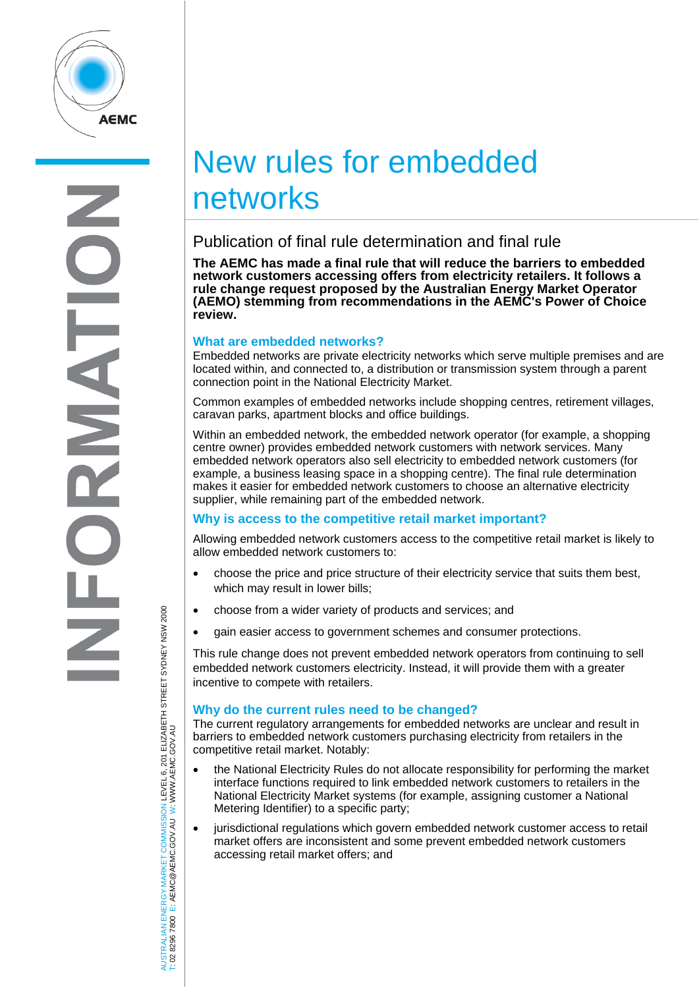

# New rules for embedded networks

# Publication of final rule determination and final rule

**The AEMC has made a final rule that will reduce the barriers to embedded network customers accessing offers from electricity retailers. It follows a rule change request proposed by the Australian Energy Market Operator (AEMO) stemming from recommendations in the AEMC's Power of Choice review.** 

## **What are embedded networks?**

Embedded networks are private electricity networks which serve multiple premises and are located within, and connected to, a distribution or transmission system through a parent connection point in the National Electricity Market.

Common examples of embedded networks include shopping centres, retirement villages, caravan parks, apartment blocks and office buildings.

Within an embedded network, the embedded network operator (for example, a shopping centre owner) provides embedded network customers with network services. Many embedded network operators also sell electricity to embedded network customers (for example, a business leasing space in a shopping centre). The final rule determination makes it easier for embedded network customers to choose an alternative electricity supplier, while remaining part of the embedded network.

# **Why is access to the competitive retail market important?**

Allowing embedded network customers access to the competitive retail market is likely to allow embedded network customers to:

- choose the price and price structure of their electricity service that suits them best, which may result in lower bills;
- choose from a wider variety of products and services; and
- gain easier access to government schemes and consumer protections.

This rule change does not prevent embedded network operators from continuing to sell embedded network customers electricity. Instead, it will provide them with a greater incentive to compete with retailers.

## **Why do the current rules need to be changed?**

The current regulatory arrangements for embedded networks are unclear and result in barriers to embedded network customers purchasing electricity from retailers in the competitive retail market. Notably:

- the National Electricity Rules do not allocate responsibility for performing the market interface functions required to link embedded network customers to retailers in the National Electricity Market systems (for example, assigning customer a National Metering Identifier) to a specific party;
- jurisdictional regulations which govern embedded network customer access to retail market offers are inconsistent and some prevent embedded network customers accessing retail market offers; and

JSTRALIAN ENERGY MARKET COMMISSION LEVEL 6, 201 ELIZABETH STREET SYDNEY NSW 2000<br>02 8296 7800 E: AEMC@AEMC.GOV.AU W∶WWW.AEMC.GOV.AU AUSTRALIAN ENERGY MARKET COMMISSION LEVEL 6, 201 ELIZABETH STREET SYDNEY NSW 2000 W: WWW.AEMC.GOV.AU T: 02 8296 7800 E: AEMC@AEMC.GOV.AU